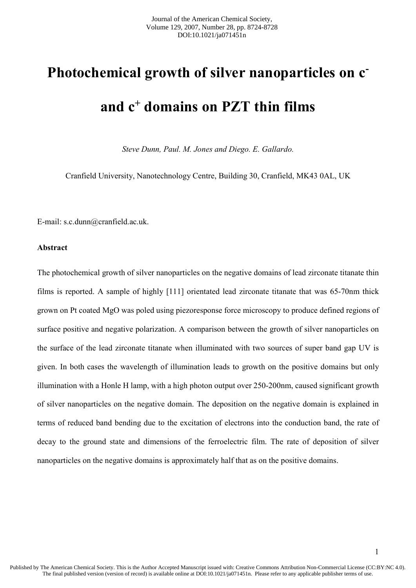# **Photochemical growth of silver nanoparticles on c and c <sup>+</sup> domains on PZT thin films**

*Steve Dunn, Paul. M. Jones and Diego. E. Gallardo.*

Cranfield University, Nanotechnology Centre, Building 30, Cranfield, MK43 0AL, UK

E-mail: s.c.dunn@cranfield.ac.uk.

### **Abstract**

The photochemical growth of silver nanoparticles on the negative domains of lead zirconate titanate thin films is reported. A sample of highly [111] orientated lead zirconate titanate that was 65-70nm thick grown on Pt coated MgO was poled using piezoresponse force microscopy to produce defined regions of surface positive and negative polarization. A comparison between the growth of silver nanoparticles on the surface of the lead zirconate titanate when illuminated with two sources of super band gap UV is given. In both cases the wavelength of illumination leads to growth on the positive domains but only illumination with a Honle H lamp, with a high photon output over 250-200nm, caused significant growth of silver nanoparticles on the negative domain. The deposition on the negative domain is explained in terms of reduced band bending due to the excitation of electrons into the conduction band, the rate of decay to the ground state and dimensions of the ferroelectric film. The rate of deposition of silver nanoparticles on the negative domains is approximately half that as on the positive domains.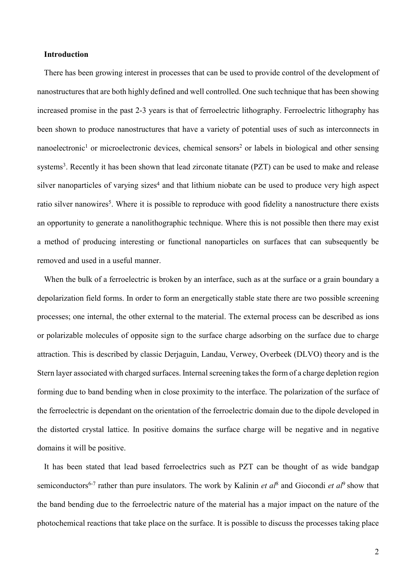## **Introduction**

There has been growing interest in processes that can be used to provide control of the development of nanostructures that are both highly defined and well controlled. One such technique that has been showing increased promise in the past 2-3 years is that of ferroelectric lithography. Ferroelectric lithography has been shown to produce nanostructures that have a variety of potential uses of such as interconnects in nanoelectronic<sup>1</sup> or microelectronic devices, chemical sensors<sup>2</sup> or labels in biological and other sensing systems<sup>3</sup>. Recently it has been shown that lead zirconate titanate (PZT) can be used to make and release silver nanoparticles of varying sizes<sup>4</sup> and that lithium niobate can be used to produce very high aspect ratio silver nanowires<sup>5</sup>. Where it is possible to reproduce with good fidelity a nanostructure there exists an opportunity to generate a nanolithographic technique. Where this is not possible then there may exist a method of producing interesting or functional nanoparticles on surfaces that can subsequently be removed and used in a useful manner.

When the bulk of a ferroelectric is broken by an interface, such as at the surface or a grain boundary a depolarization field forms. In order to form an energetically stable state there are two possible screening processes; one internal, the other external to the material. The external process can be described as ions or polarizable molecules of opposite sign to the surface charge adsorbing on the surface due to charge attraction. This is described by classic Derjaguin, Landau, Verwey, Overbeek (DLVO) theory and is the Stern layer associated with charged surfaces. Internal screening takes the form of a charge depletion region forming due to band bending when in close proximity to the interface. The polarization of the surface of the ferroelectric is dependant on the orientation of the ferroelectric domain due to the dipole developed in the distorted crystal lattice. In positive domains the surface charge will be negative and in negative domains it will be positive.

It has been stated that lead based ferroelectrics such as PZT can be thought of as wide bandgap semiconductors<sup>6-7</sup> rather than pure insulators. The work by Kalinin *et al*<sup>8</sup> and Giocondi *et al*<sup>9</sup> show that the band bending due to the ferroelectric nature of the material has a major impact on the nature of the photochemical reactions that take place on the surface. It is possible to discuss the processes taking place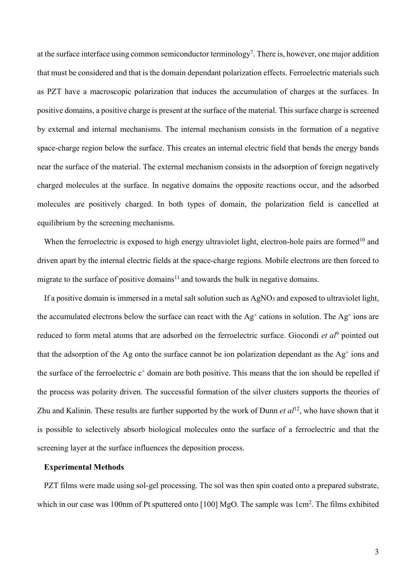at the surface interface using common semiconductor terminology<sup>7</sup>. There is, however, one major addition that must be considered and that is the domain dependant polarization effects. Ferroelectric materials such as PZT have a macroscopic polarization that induces the accumulation of charges at the surfaces. In positive domains, a positive charge is present at the surface of the material. This surface charge is screened by external and internal mechanisms. The internal mechanism consists in the formation of a negative space-charge region below the surface. This creates an internal electric field that bends the energy bands near the surface of the material. The external mechanism consists in the adsorption of foreign negatively charged molecules at the surface. In negative domains the opposite reactions occur, and the adsorbed molecules are positively charged. In both types of domain, the polarization field is cancelled at equilibrium by the screening mechanisms.

When the ferroelectric is exposed to high energy ultraviolet light, electron-hole pairs are formed<sup>10</sup> and driven apart by the internal electric fields at the space-charge regions. Mobile electrons are then forced to migrate to the surface of positive domains<sup>11</sup> and towards the bulk in negative domains.

If a positive domain is immersed in a metal salt solution such as AgNO<sub>3</sub> and exposed to ultraviolet light, the accumulated electrons below the surface can react with the  $Ag^+$  cations in solution. The  $Ag^+$  ions are reduced to form metal atoms that are adsorbed on the ferroelectric surface. Giocondi *et al*<sup>9</sup> pointed out that the adsorption of the Ag onto the surface cannot be ion polarization dependant as the Ag<sup>+</sup> ions and the surface of the ferroelectric  $c^+$  domain are both positive. This means that the ion should be repelled if the process was polarity driven. The successful formation of the silver clusters supports the theories of Zhu and Kalinin. These results are further supported by the work of Dunn *et al*<sup>12</sup>, who have shown that it is possible to selectively absorb biological molecules onto the surface of a ferroelectric and that the screening layer at the surface influences the deposition process.

#### **Experimental Methods**

PZT films were made using sol-gel processing. The sol was then spin coated onto a prepared substrate, which in our case was 100nm of Pt sputtered onto [100] MgO. The sample was 1cm<sup>2</sup>. The films exhibited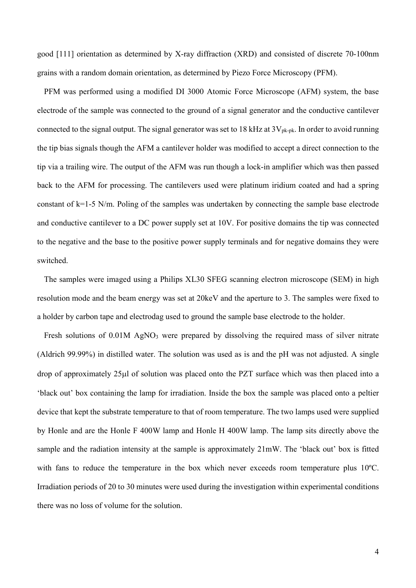good [111] orientation as determined by X-ray diffraction (XRD) and consisted of discrete 70-100nm grains with a random domain orientation, as determined by Piezo Force Microscopy (PFM).

PFM was performed using a modified DI 3000 Atomic Force Microscope (AFM) system, the base electrode of the sample was connected to the ground of a signal generator and the conductive cantilever connected to the signal output. The signal generator was set to 18 kHz at  $3V_{\text{pk-pk}}$ . In order to avoid running the tip bias signals though the AFM a cantilever holder was modified to accept a direct connection to the tip via a trailing wire. The output of the AFM was run though a lock-in amplifier which was then passed back to the AFM for processing. The cantilevers used were platinum iridium coated and had a spring constant of k=1-5 N/m. Poling of the samples was undertaken by connecting the sample base electrode and conductive cantilever to a DC power supply set at 10V. For positive domains the tip was connected to the negative and the base to the positive power supply terminals and for negative domains they were switched.

The samples were imaged using a Philips XL30 SFEG scanning electron microscope (SEM) in high resolution mode and the beam energy was set at 20keV and the aperture to 3. The samples were fixed to a holder by carbon tape and electrodag used to ground the sample base electrode to the holder.

Fresh solutions of 0.01M AgNO<sub>3</sub> were prepared by dissolving the required mass of silver nitrate (Aldrich 99.99%) in distilled water. The solution was used as is and the pH was not adjusted. A single drop of approximately 25µl of solution was placed onto the PZT surface which was then placed into a 'black out' box containing the lamp for irradiation. Inside the box the sample was placed onto a peltier device that kept the substrate temperature to that of room temperature. The two lamps used were supplied by Honle and are the Honle F 400W lamp and Honle H 400W lamp. The lamp sits directly above the sample and the radiation intensity at the sample is approximately 21mW. The 'black out' box is fitted with fans to reduce the temperature in the box which never exceeds room temperature plus 10°C. Irradiation periods of 20 to 30 minutes were used during the investigation within experimental conditions there was no loss of volume for the solution.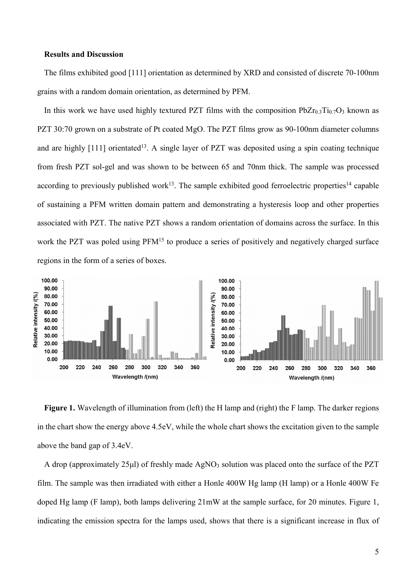#### **Results and Discussion**

The films exhibited good [111] orientation as determined by XRD and consisted of discrete 70-100nm grains with a random domain orientation, as determined by PFM.

In this work we have used highly textured PZT films with the composition  $PbZr_{0.3}Ti_{0.7}O_3$  known as PZT 30:70 grown on a substrate of Pt coated MgO. The PZT films grow as 90-100nm diameter columns and are highly [111] orientated<sup>13</sup>. A single layer of PZT was deposited using a spin coating technique from fresh PZT sol-gel and was shown to be between 65 and 70nm thick. The sample was processed according to previously published work<sup>13</sup>. The sample exhibited good ferroelectric properties<sup>14</sup> capable of sustaining a PFM written domain pattern and demonstrating a hysteresis loop and other properties associated with PZT. The native PZT shows a random orientation of domains across the surface. In this work the PZT was poled using PFM<sup>15</sup> to produce a series of positively and negatively charged surface regions in the form of a series of boxes.



Figure 1. Wavelength of illumination from (left) the H lamp and (right) the F lamp. The darker regions in the chart show the energy above 4.5eV, while the whole chart shows the excitation given to the sample above the band gap of 3.4eV.

A drop (approximately 25<sub>ul</sub>) of freshly made  $AgNO<sub>3</sub>$  solution was placed onto the surface of the PZT film. The sample was then irradiated with either a Honle 400W Hg lamp (H lamp) or a Honle 400W Fe doped Hg lamp (F lamp), both lamps delivering 21mW at the sample surface, for 20 minutes. Figure 1, indicating the emission spectra for the lamps used, shows that there is a significant increase in flux of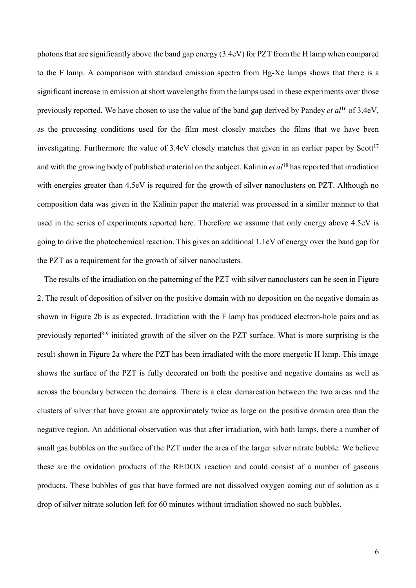photons that are significantly above the band gap energy (3.4eV) for PZT from the H lamp when compared to the F lamp. A comparison with standard emission spectra from Hg-Xe lamps shows that there is a significant increase in emission at short wavelengths from the lamps used in these experiments over those previously reported. We have chosen to use the value of the band gap derived by Pandey *et al*<sup>16</sup> of 3.4eV, as the processing conditions used for the film most closely matches the films that we have been investigating. Furthermore the value of 3.4eV closely matches that given in an earlier paper by Scott<sup>17</sup> and with the growing body of published material on the subject. Kalinin *et al*<sup>18</sup> has reported that irradiation with energies greater than 4.5eV is required for the growth of silver nanoclusters on PZT. Although no composition data was given in the Kalinin paper the material was processed in a similar manner to that used in the series of experiments reported here. Therefore we assume that only energy above 4.5eV is going to drive the photochemical reaction. This gives an additional 1.1eV of energy over the band gap for the PZT as a requirement for the growth of silver nanoclusters.

The results of the irradiation on the patterning of the PZT with silver nanoclusters can be seen in Figure 2. The result of deposition of silver on the positive domain with no deposition on the negative domain as shown in Figure 2b is as expected. Irradiation with the F lamp has produced electron-hole pairs and as previously reported8-9 initiated growth of the silver on the PZT surface. What is more surprising is the result shown in Figure 2a where the PZT has been irradiated with the more energetic H lamp. This image shows the surface of the PZT is fully decorated on both the positive and negative domains as well as across the boundary between the domains. There is a clear demarcation between the two areas and the clusters of silver that have grown are approximately twice as large on the positive domain area than the negative region. An additional observation was that after irradiation, with both lamps, there a number of small gas bubbles on the surface of the PZT under the area of the larger silver nitrate bubble. We believe these are the oxidation products of the REDOX reaction and could consist of a number of gaseous products. These bubbles of gas that have formed are not dissolved oxygen coming out of solution as a drop of silver nitrate solution left for 60 minutes without irradiation showed no such bubbles.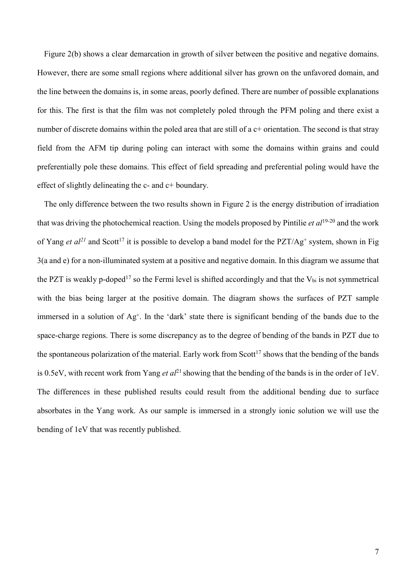Figure 2(b) shows a clear demarcation in growth of silver between the positive and negative domains. However, there are some small regions where additional silver has grown on the unfavored domain, and the line between the domains is, in some areas, poorly defined. There are number of possible explanations for this. The first is that the film was not completely poled through the PFM poling and there exist a number of discrete domains within the poled area that are still of a c+ orientation. The second is that stray field from the AFM tip during poling can interact with some the domains within grains and could preferentially pole these domains. This effect of field spreading and preferential poling would have the effect of slightly delineating the c- and c+ boundary.

The only difference between the two results shown in Figure 2 is the energy distribution of irradiation that was driving the photochemical reaction. Using the models proposed by Pintilie *et al*19-20 and the work of Yang *et al*<sup>21</sup> and Scott<sup>17</sup> it is possible to develop a band model for the PZT/Ag<sup>+</sup> system, shown in Fig 3(a and e) for a non-illuminated system at a positive and negative domain. In this diagram we assume that the PZT is weakly p-doped<sup>17</sup> so the Fermi level is shifted accordingly and that the  $V_{bi}$  is not symmetrical with the bias being larger at the positive domain. The diagram shows the surfaces of PZT sample immersed in a solution of Ag<sup>+</sup>. In the 'dark' state there is significant bending of the bands due to the space-charge regions. There is some discrepancy as to the degree of bending of the bands in PZT due to the spontaneous polarization of the material. Early work from Scott<sup>17</sup> shows that the bending of the bands is 0.5eV, with recent work from Yang *et al*<sup>21</sup> showing that the bending of the bands is in the order of 1eV. The differences in these published results could result from the additional bending due to surface absorbates in the Yang work. As our sample is immersed in a strongly ionic solution we will use the bending of 1eV that was recently published.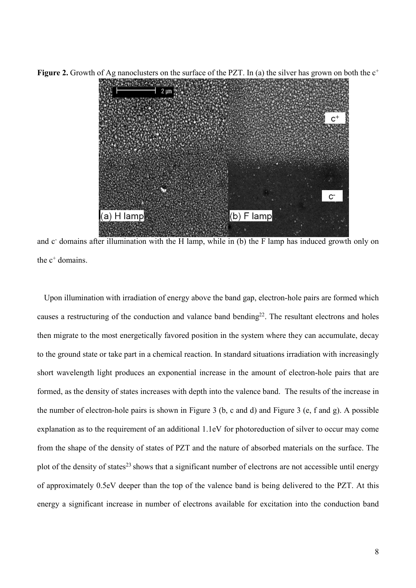

**Figure 2.** Growth of Ag nanoclusters on the surface of the PZT. In (a) the silver has grown on both the  $c^+$ 

and c- domains after illumination with the H lamp, while in (b) the F lamp has induced growth only on the  $c^+$  domains.

Upon illumination with irradiation of energy above the band gap, electron-hole pairs are formed which causes a restructuring of the conduction and valance band bending<sup>22</sup>. The resultant electrons and holes then migrate to the most energetically favored position in the system where they can accumulate, decay to the ground state or take part in a chemical reaction. In standard situations irradiation with increasingly short wavelength light produces an exponential increase in the amount of electron-hole pairs that are formed, as the density of states increases with depth into the valence band. The results of the increase in the number of electron-hole pairs is shown in Figure 3 (b, c and d) and Figure 3 (e, f and g). A possible explanation as to the requirement of an additional 1.1eV for photoreduction of silver to occur may come from the shape of the density of states of PZT and the nature of absorbed materials on the surface. The plot of the density of states<sup>23</sup> shows that a significant number of electrons are not accessible until energy of approximately 0.5eV deeper than the top of the valence band is being delivered to the PZT. At this energy a significant increase in number of electrons available for excitation into the conduction band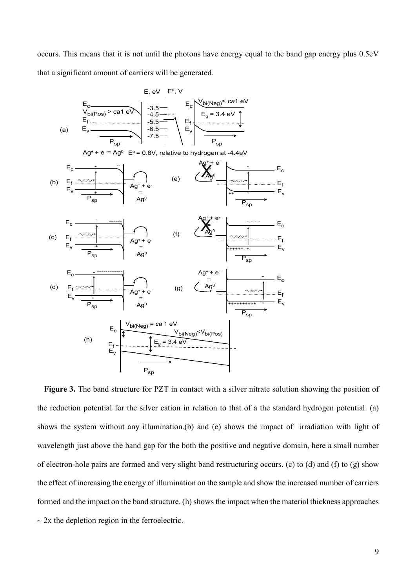occurs. This means that it is not until the photons have energy equal to the band gap energy plus 0.5eV that a significant amount of carriers will be generated.



**Figure 3.** The band structure for PZT in contact with a silver nitrate solution showing the position of the reduction potential for the silver cation in relation to that of a the standard hydrogen potential. (a) shows the system without any illumination.(b) and (e) shows the impact of irradiation with light of wavelength just above the band gap for the both the positive and negative domain, here a small number of electron-hole pairs are formed and very slight band restructuring occurs. (c) to (d) and (f) to (g) show the effect of increasing the energy of illumination on the sample and show the increased number of carriers formed and the impact on the band structure. (h) shows the impact when the material thickness approaches  $\sim$  2x the depletion region in the ferroelectric.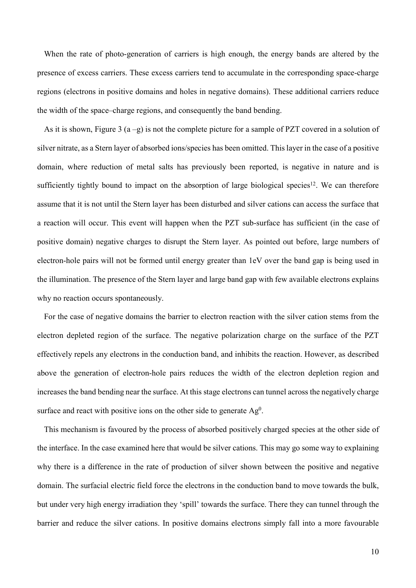When the rate of photo-generation of carriers is high enough, the energy bands are altered by the presence of excess carriers. These excess carriers tend to accumulate in the corresponding space-charge regions (electrons in positive domains and holes in negative domains). These additional carriers reduce the width of the space–charge regions, and consequently the band bending.

As it is shown, Figure 3 (a –g) is not the complete picture for a sample of PZT covered in a solution of silver nitrate, as a Stern layer of absorbed ions/species has been omitted. This layer in the case of a positive domain, where reduction of metal salts has previously been reported, is negative in nature and is sufficiently tightly bound to impact on the absorption of large biological species<sup>12</sup>. We can therefore assume that it is not until the Stern layer has been disturbed and silver cations can access the surface that a reaction will occur. This event will happen when the PZT sub-surface has sufficient (in the case of positive domain) negative charges to disrupt the Stern layer. As pointed out before, large numbers of electron-hole pairs will not be formed until energy greater than 1eV over the band gap is being used in the illumination. The presence of the Stern layer and large band gap with few available electrons explains why no reaction occurs spontaneously.

For the case of negative domains the barrier to electron reaction with the silver cation stems from the electron depleted region of the surface. The negative polarization charge on the surface of the PZT effectively repels any electrons in the conduction band, and inhibits the reaction. However, as described above the generation of electron-hole pairs reduces the width of the electron depletion region and increases the band bending near the surface. At this stage electrons can tunnel across the negatively charge surface and react with positive ions on the other side to generate  $Ag<sup>0</sup>$ .

This mechanism is favoured by the process of absorbed positively charged species at the other side of the interface. In the case examined here that would be silver cations. This may go some way to explaining why there is a difference in the rate of production of silver shown between the positive and negative domain. The surfacial electric field force the electrons in the conduction band to move towards the bulk, but under very high energy irradiation they 'spill' towards the surface. There they can tunnel through the barrier and reduce the silver cations. In positive domains electrons simply fall into a more favourable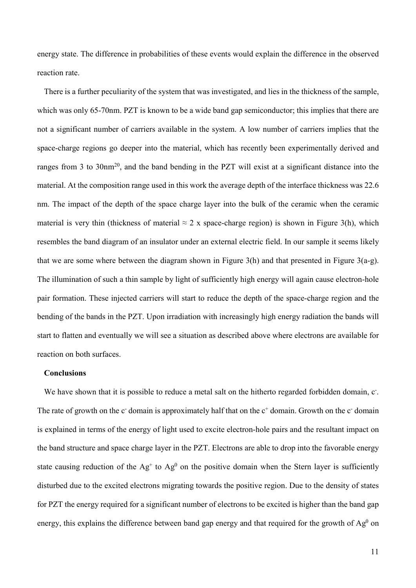energy state. The difference in probabilities of these events would explain the difference in the observed reaction rate.

There is a further peculiarity of the system that was investigated, and lies in the thickness of the sample, which was only 65-70nm. PZT is known to be a wide band gap semiconductor; this implies that there are not a significant number of carriers available in the system. A low number of carriers implies that the space-charge regions go deeper into the material, which has recently been experimentally derived and ranges from 3 to 30nm<sup>20</sup>, and the band bending in the PZT will exist at a significant distance into the material. At the composition range used in this work the average depth of the interface thickness was 22.6 nm. The impact of the depth of the space charge layer into the bulk of the ceramic when the ceramic material is very thin (thickness of material  $\approx 2$  x space-charge region) is shown in Figure 3(h), which resembles the band diagram of an insulator under an external electric field. In our sample it seems likely that we are some where between the diagram shown in Figure  $3(h)$  and that presented in Figure  $3(a-g)$ . The illumination of such a thin sample by light of sufficiently high energy will again cause electron-hole pair formation. These injected carriers will start to reduce the depth of the space-charge region and the bending of the bands in the PZT. Upon irradiation with increasingly high energy radiation the bands will start to flatten and eventually we will see a situation as described above where electrons are available for reaction on both surfaces.

## **Conclusions**

We have shown that it is possible to reduce a metal salt on the hitherto regarded forbidden domain, c. The rate of growth on the  $c$ -domain is approximately half that on the  $c^+$  domain. Growth on the  $c^-$  domain is explained in terms of the energy of light used to excite electron-hole pairs and the resultant impact on the band structure and space charge layer in the PZT. Electrons are able to drop into the favorable energy state causing reduction of the  $Ag<sup>+</sup>$  to  $Ag<sup>0</sup>$  on the positive domain when the Stern layer is sufficiently disturbed due to the excited electrons migrating towards the positive region. Due to the density of states for PZT the energy required for a significant number of electrons to be excited is higher than the band gap energy, this explains the difference between band gap energy and that required for the growth of  $Ag<sup>0</sup>$  on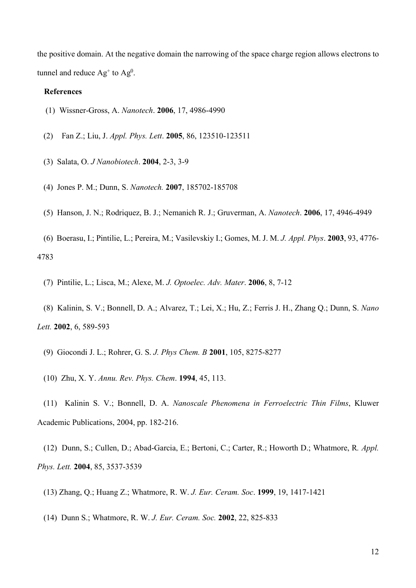the positive domain. At the negative domain the narrowing of the space charge region allows electrons to tunnel and reduce  $Ag^+$  to  $Ag^0$ .

#### **References**

- (1) Wissner-Gross, A. *Nanotech*. **2006**, 17, 4986-4990
- (2) Fan Z.; Liu, J. *Appl. Phys. Lett*. **2005**, 86, 123510-123511
- (3) Salata, O. *J Nanobiotech*. **2004**, 2-3, 3-9
- (4) Jones P. M.; Dunn, S. *Nanotech.* **2007**, 185702-185708
- (5) Hanson, J. N.; Rodriquez, B. J.; Nemanich R. J.; Gruverman, A. *Nanotech*. **2006**, 17, 4946-4949
- (6) Boerasu, I.; Pintilie, L.; Pereira, M.; Vasilevskiy I.; Gomes, M. J. M. *J. Appl. Phys*. **2003**, 93, 4776- 4783
	- (7) Pintilie, L.; Lisca, M.; Alexe, M. *J. Optoelec. Adv. Mater*. **2006**, 8, 7-12
- (8) Kalinin, S. V.; Bonnell, D. A.; Alvarez, T.; Lei, X.; Hu, Z.; Ferris J. H., Zhang Q.; Dunn, S. *Nano Lett.* **2002**, 6, 589-593
	- (9) Giocondi J. L.; Rohrer, G. S. *J. Phys Chem. B* **2001**, 105, 8275-8277
	- (10) Zhu, X. Y. *Annu. Rev. Phys. Chem*. **1994**, 45, 113.
- (11) Kalinin S. V.; Bonnell, D. A. *Nanoscale Phenomena in Ferroelectric Thin Films*, Kluwer Academic Publications, 2004, pp. 182-216.

(12) Dunn, S.; Cullen, D.; Abad-Garcia, E.; Bertoni, C.; Carter, R.; Howorth D.; Whatmore, R*. Appl. Phys. Lett.* **2004**, 85, 3537-3539

- (13) Zhang, Q.; Huang Z.; Whatmore, R. W. *J. Eur. Ceram. Soc*. **1999**, 19, 1417-1421
- (14) Dunn S.; Whatmore, R. W. *J. Eur. Ceram. Soc.* **2002**, 22, 825-833